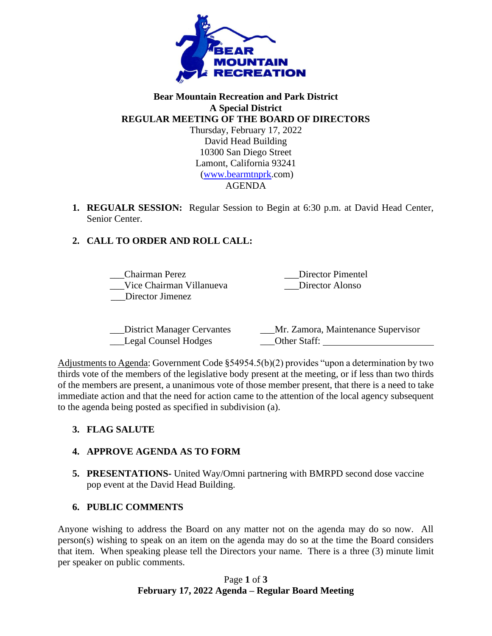

#### **Bear Mountain Recreation and Park District A Special District REGULAR MEETING OF THE BOARD OF DIRECTORS** Thursday, February 17, 2022 David Head Building 10300 San Diego Street

Lamont, California 93241 [\(www.bearmtnprk.](http://www.bearmtnprk/)com) AGENDA

**1. REGUALR SESSION:** Regular Session to Begin at 6:30 p.m. at David Head Center, Senior Center.

# **2. CALL TO ORDER AND ROLL CALL:**

\_\_\_Chairman Perez \_\_\_Vice Chairman Villanueva \_\_\_Director Jimenez \_\_\_Director Pimentel \_\_\_Director Alonso

| District Manager Cervantes | Mr. Zamora, Maintenance Supervisor |
|----------------------------|------------------------------------|
| Legal Counsel Hodges       | Other Staff:                       |

Adjustments to Agenda: Government Code §54954.5(b)(2) provides "upon a determination by two thirds vote of the members of the legislative body present at the meeting, or if less than two thirds of the members are present, a unanimous vote of those member present, that there is a need to take immediate action and that the need for action came to the attention of the local agency subsequent to the agenda being posted as specified in subdivision (a).

# **3. FLAG SALUTE**

### **4. APPROVE AGENDA AS TO FORM**

**5. PRESENTATIONS-** United Way/Omni partnering with BMRPD second dose vaccine pop event at the David Head Building.

### **6. PUBLIC COMMENTS**

Anyone wishing to address the Board on any matter not on the agenda may do so now. All person(s) wishing to speak on an item on the agenda may do so at the time the Board considers that item. When speaking please tell the Directors your name. There is a three (3) minute limit per speaker on public comments.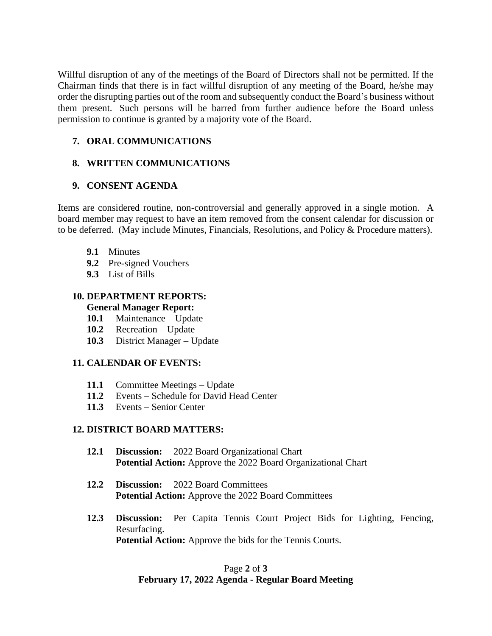Willful disruption of any of the meetings of the Board of Directors shall not be permitted. If the Chairman finds that there is in fact willful disruption of any meeting of the Board, he/she may order the disrupting parties out of the room and subsequently conduct the Board's business without them present. Such persons will be barred from further audience before the Board unless permission to continue is granted by a majority vote of the Board.

## **7. ORAL COMMUNICATIONS**

## **8. WRITTEN COMMUNICATIONS**

## **9. CONSENT AGENDA**

Items are considered routine, non-controversial and generally approved in a single motion. A board member may request to have an item removed from the consent calendar for discussion or to be deferred. (May include Minutes, Financials, Resolutions, and Policy & Procedure matters).

- **9.1** Minutes
- **9.2** Pre-signed Vouchers
- **9.3** List of Bills

#### **10. DEPARTMENT REPORTS: General Manager Report:**

- **10.1** Maintenance Update
- **10.2** Recreation Update
- **10.3** District Manager Update

### **11. CALENDAR OF EVENTS:**

- **11.1** Committee Meetings Update
- **11.2** Events Schedule for David Head Center
- **11.3** Events Senior Center

### **12. DISTRICT BOARD MATTERS:**

- **12.1 Discussion:** 2022 Board Organizational Chart **Potential Action:** Approve the 2022 Board Organizational Chart
- **12.2 Discussion:** 2022 Board Committees **Potential Action:** Approve the 2022 Board Committees
- **12.3 Discussion:** Per Capita Tennis Court Project Bids for Lighting, Fencing, Resurfacing. **Potential Action:** Approve the bids for the Tennis Courts.

## Page **2** of **3 February 17, 2022 Agenda - Regular Board Meeting**